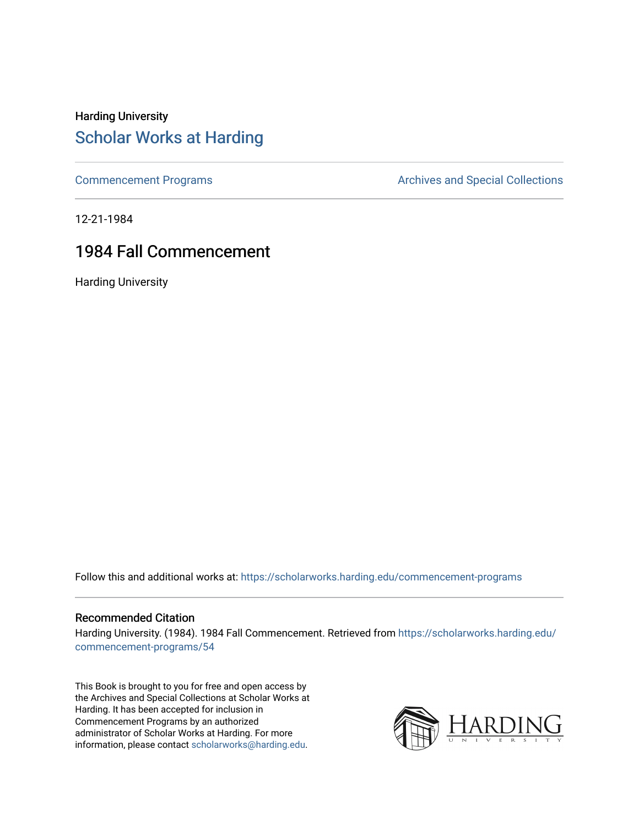#### Harding University [Scholar Works at Harding](https://scholarworks.harding.edu/)

[Commencement Programs](https://scholarworks.harding.edu/commencement-programs) **Archives and Special Collections** Archives and Special Collections

12-21-1984

#### 1984 Fall Commencement

Harding University

Follow this and additional works at: [https://scholarworks.harding.edu/commencement-programs](https://scholarworks.harding.edu/commencement-programs?utm_source=scholarworks.harding.edu%2Fcommencement-programs%2F54&utm_medium=PDF&utm_campaign=PDFCoverPages)

#### Recommended Citation

Harding University. (1984). 1984 Fall Commencement. Retrieved from [https://scholarworks.harding.edu/](https://scholarworks.harding.edu/commencement-programs/54?utm_source=scholarworks.harding.edu%2Fcommencement-programs%2F54&utm_medium=PDF&utm_campaign=PDFCoverPages) [commencement-programs/54](https://scholarworks.harding.edu/commencement-programs/54?utm_source=scholarworks.harding.edu%2Fcommencement-programs%2F54&utm_medium=PDF&utm_campaign=PDFCoverPages) 

This Book is brought to you for free and open access by the Archives and Special Collections at Scholar Works at Harding. It has been accepted for inclusion in Commencement Programs by an authorized administrator of Scholar Works at Harding. For more information, please contact [scholarworks@harding.edu.](mailto:scholarworks@harding.edu)

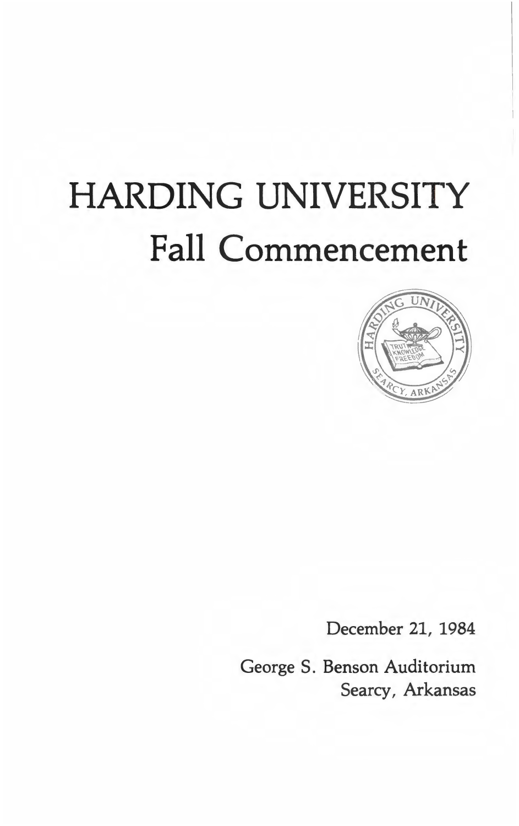# **HARDING UNIVERSITY Fall Commencement**



December 21, 1984

George S. Benson Auditorium Searcy, Arkansas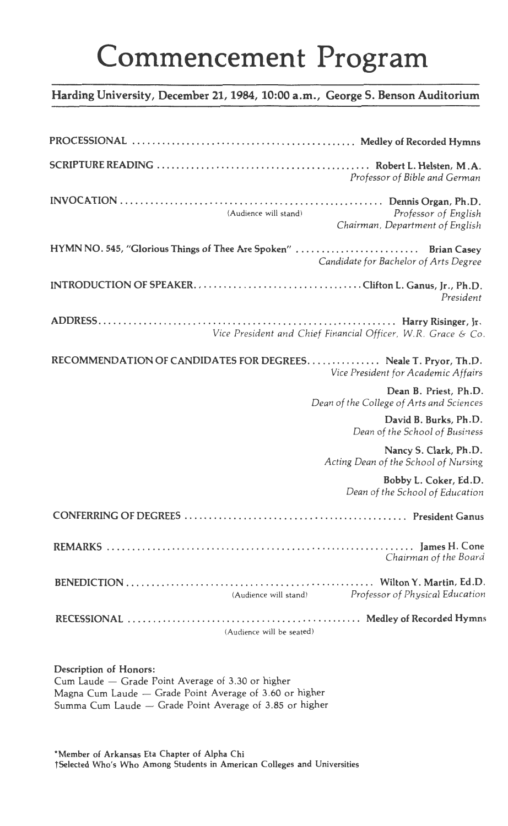## Commencement Program

#### **Harding University, December 21, 1984, 10:00 a.m., George S. Benson Auditorium**

| Professor of Bible and German                                                                            |
|----------------------------------------------------------------------------------------------------------|
| (Audience will stand)<br>Professor of English<br>Chairman, Department of English                         |
| HYMN NO. 545, "Glorious Things of Thee Are Spoken"  Brian Casey<br>Candidate for Bachelor of Arts Degree |
| President                                                                                                |
| Vice President and Chief Financial Officer, W.R. Grace & Co.                                             |
| RECOMMENDATION OF CANDIDATES FOR DEGREES Neale T. Pryor, Th.D.<br>Vice President for Academic Affairs    |
| Dean B. Priest, Ph.D.<br>Dean of the College of Arts and Sciences                                        |
| David B. Burks, Ph.D.<br>Dean of the School of Business                                                  |
| Nancy S. Clark, Ph.D.<br>Acting Dean of the School of Nursing                                            |
| Bobby L. Coker, Ed.D.<br>Dean of the School of Education                                                 |
|                                                                                                          |
| Chairman of the Board                                                                                    |
| (Audience will stand) Professor of Physical Education                                                    |
| (Audience will be seated)                                                                                |

#### **Description of Honors:**

Cum Laude - Grade Point Average of 3.30 or higher Magna Cum Laude - Grade Point Average of 3.60 or higher Summa Cum Laude - Grade Point Average of 3.85 or higher

**\*Member of Arkansas Eta Chapter of Alpha Chi t Selected Who's Who Among Students in American Colleges and Universities**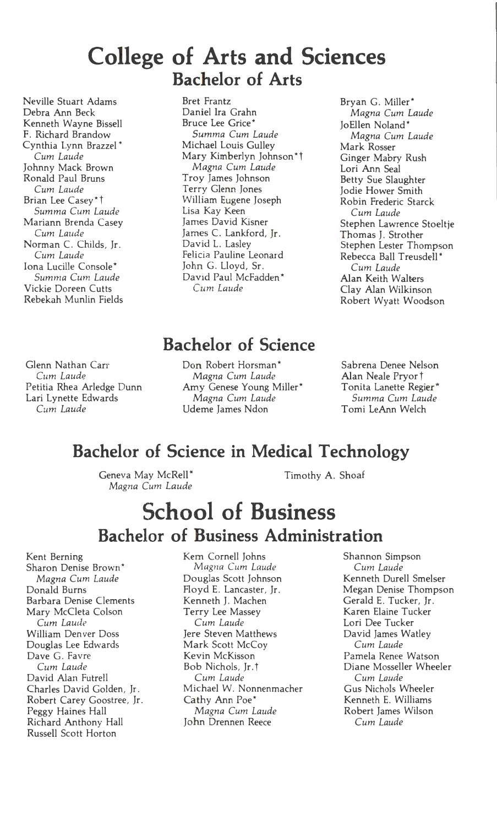## **College of Arts and Sciences Bachelor of Arts**

Neville Stuart Adams Debra Ann Beck Kenneth Wayne Bissell F. Richard Brandow Cynthia Lynn Brazzel\* *Cum Laude*  Johnny Mack Brown Ronald Paul Bruns *Cum Laude*  Brian Lee Casey\*1 *Summa Cum Laude*  Mariann Brenda Casey *Cum Laude*  Norman C. Childs, Jr. *Cum Laude*  Iona Lucille Console\* *Sum ma Cum Laude*  Vickie Doreen Cutts Rebekah Munlin Fields Bret Frantz Daniel Ira Grahn Bruce Lee Grice\* *Summa Cum Laude*  Michael Louis Gulley Mary Kimberlyn Johnson\* t *Magna Cum Laude*  Troy James Johnson Terry Glenn Jones William Eugene Joseph Lisa Kay Keen James David Kisner James C. Lankford, Jr. David L. Lasley Felicia Pauline Leonard John G. Lloyd, Sr. David Paul McFadden\* *Cum Laude* 

Bryan G. Miller\* *Magna Cum Laude*  Jo Ellen Noland\* *Magna Cum Laude*  Mark Rosser Ginger Mabry Rush Lori Ann Seal Betty Sue Slaughter Jodie Hower Smith Robin Frederic Starck *Cum Laude*  Stephen Lawrence Stoeltje Thomas J. Strother Stephen Lester Thompson Rebecca Ball Treusdell\* *Cum Laude*  Alan Keith Walters Clay Alan Wilkinson Robert Wyatt Woodson

#### **Bachelor of Science**

Glenn Nathan Carr *Cum Laude*  Petitia Rhea Arledge Dunn Lari Lynette Edwards *Cum Laude* 

Don Robert Horsman\* *Magna Cum Laude*  Amy Genese Young Miller\* *Magna Cum Laude*  Udeme James Ndon

Sabrena Denee Nelson Alan Neale Pryor t Tonita Lanette Regier\* *Summa Cum Laude*  Tomi LeAnn Welch

#### **Bachelor of Science in Medical Technology**

Geneva May McRell\* *Magna Cum Laude*  Timothy A. Shoaf

## **School of Business Bachelor of Business Administration**

Kent Berning Sharon Denise Brown \* *Magna Cum Laude*  Donald Burns Barbara Denise Clements Mary McCleta Colson *Cum Laude*  William Denver Doss Douglas Lee Edwards Dave G. Favre *Cum Laude*  David Alan Futrell Charles David Golden, Jr. Robert Carey Goostree, Jr. Peggy Haines Hall Richard Anthony Hall Russell Scott Horton

Kem Cornell Johns *Magna Cum Laude*  Douglas Scott Johnson Floyd E. Lancaster, Jr. Kenneth J. Machen Terry Lee Massey *Cum Laude*  Jere Steven Matthews Mark Scott McCoy Kevin McKisson Bob Nichols, Jr. t *Cum Laude*  Michael W. Nonnenmacher Cathy Ann Poe\* *Magna Cum Laude*  John Drennen Reece

Shannon Simpson *Cum Laude*  Kenneth Durell Smelser Megan Denise Thompson Gerald E. Tucker, Jr. Karen Elaine Tucker Lori Dee Tucker David James Watley *Cum Laude*  Pamela Renee Watson Diane Mosseller Wheeler *Cum Laude*  Gus Nichols Wheeler Kenneth E. Williams Robert James Wilson *Cum Laude*